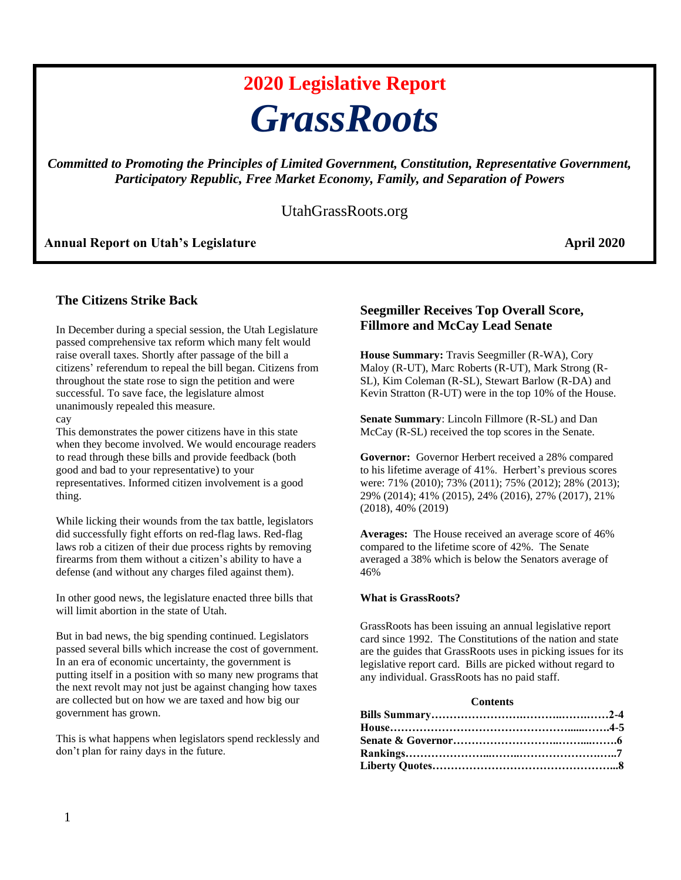# **2020 Legislative Report** *GrassRoots*

*Committed to Promoting the Principles of Limited Government, Constitution, Representative Government, Participatory Republic, Free Market Economy, Family, and Separation of Powers*

# UtahGrassRoots.org

### **Annual Report on Utah's Legislature April 2020**

# **The Citizens Strike Back**

In December during a special session, the Utah Legislature passed comprehensive tax reform which many felt would raise overall taxes. Shortly after passage of the bill a citizens' referendum to repeal the bill began. Citizens from throughout the state rose to sign the petition and were successful. To save face, the legislature almost unanimously repealed this measure.

cay

This demonstrates the power citizens have in this state when they become involved. We would encourage readers to read through these bills and provide feedback (both good and bad to your representative) to your representatives. Informed citizen involvement is a good thing.

While licking their wounds from the tax battle, legislators did successfully fight efforts on red-flag laws. Red-flag laws rob a citizen of their due process rights by removing firearms from them without a citizen's ability to have a defense (and without any charges filed against them).

In other good news, the legislature enacted three bills that will limit abortion in the state of Utah.

But in bad news, the big spending continued. Legislators passed several bills which increase the cost of government. In an era of economic uncertainty, the government is putting itself in a position with so many new programs that the next revolt may not just be against changing how taxes are collected but on how we are taxed and how big our government has grown.

This is what happens when legislators spend recklessly and don't plan for rainy days in the future.

# **Seegmiller Receives Top Overall Score, Fillmore and McCay Lead Senate**

**House Summary:** Travis Seegmiller (R-WA), Cory Maloy (R-UT), Marc Roberts (R-UT), Mark Strong (R-SL), Kim Coleman (R-SL), Stewart Barlow (R-DA) and Kevin Stratton (R-UT) were in the top 10% of the House.

**Senate Summary**: Lincoln Fillmore (R-SL) and Dan McCay (R-SL) received the top scores in the Senate.

**Governor:** Governor Herbert received a 28% compared to his lifetime average of 41%. Herbert's previous scores were: 71% (2010); 73% (2011); 75% (2012); 28% (2013); 29% (2014); 41% (2015), 24% (2016), 27% (2017), 21% (2018), 40% (2019)

**Averages:** The House received an average score of 46% compared to the lifetime score of 42%. The Senate averaged a 38% which is below the Senators average of 46%

#### **What is GrassRoots?**

GrassRoots has been issuing an annual legislative report card since 1992. The Constitutions of the nation and state are the guides that GrassRoots uses in picking issues for its legislative report card. Bills are picked without regard to any individual. GrassRoots has no paid staff.

#### **Contents**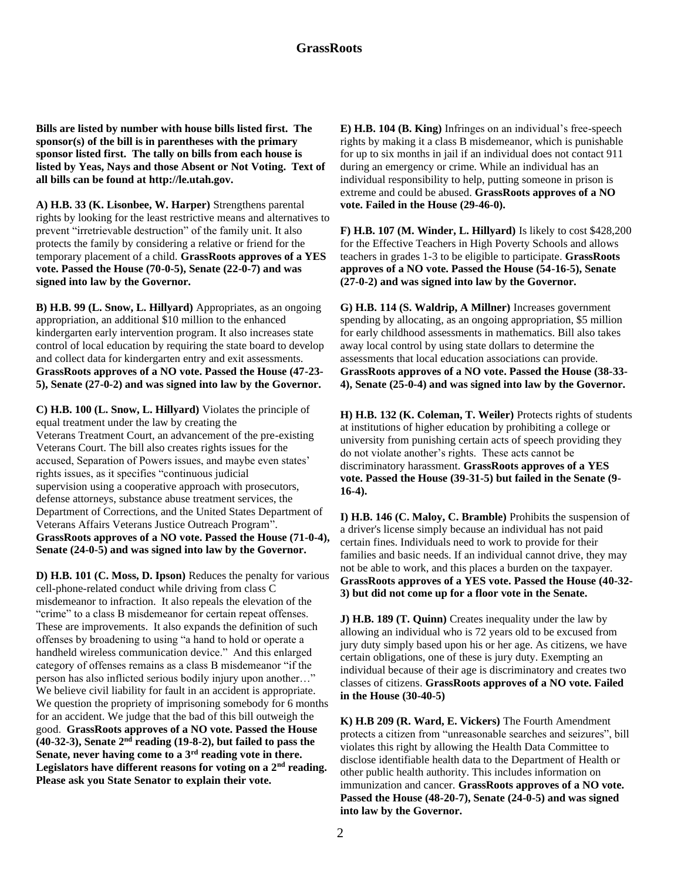**Bills are listed by number with house bills listed first. The sponsor(s) of the bill is in parentheses with the primary sponsor listed first. The tally on bills from each house is listed by Yeas, Nays and those Absent or Not Voting. Text of all bills can be found at http://le.utah.gov.**

**A) H.B. 33 (K. Lisonbee, W. Harper)** Strengthens parental rights by looking for the least restrictive means and alternatives to prevent "irretrievable destruction" of the family unit. It also protects the family by considering a relative or friend for the temporary placement of a child. **GrassRoots approves of a YES vote. Passed the House (70-0-5), Senate (22-0-7) and was signed into law by the Governor.** 

**B) H.B. 99 (L. Snow, L. Hillyard)** Appropriates, as an ongoing appropriation, an additional \$10 million to the enhanced kindergarten early intervention program. It also increases state control of local education by requiring the state board to develop and collect data for kindergarten entry and exit assessments. **GrassRoots approves of a NO vote. Passed the House (47-23- 5), Senate (27-0-2) and was signed into law by the Governor.** 

**C) H.B. 100 (L. Snow, L. Hillyard)** Violates the principle of equal treatment under the law by creating the Veterans Treatment Court, an advancement of the pre-existing Veterans Court. The bill also creates rights issues for the accused, Separation of Powers issues, and maybe even states' rights issues, as it specifies "continuous judicial supervision using a cooperative approach with prosecutors, defense attorneys, substance abuse treatment services, the Department of Corrections, and the United States Department of Veterans Affairs Veterans Justice Outreach Program". **GrassRoots approves of a NO vote. Passed the House (71-0-4), Senate (24-0-5) and was signed into law by the Governor.** 

**D) H.B. 101 (C. Moss, D. Ipson)** Reduces the penalty for various cell-phone-related conduct while driving from class C misdemeanor to infraction. It also repeals the elevation of the "crime" to a class B misdemeanor for certain repeat offenses. These are improvements. It also expands the definition of such offenses by broadening to using "a hand to hold or operate a handheld wireless communication device." And this enlarged category of offenses remains as a class B misdemeanor "if the person has also inflicted serious bodily injury upon another…" We believe civil liability for fault in an accident is appropriate. We question the propriety of imprisoning somebody for 6 months for an accident. We judge that the bad of this bill outweigh the good. **GrassRoots approves of a NO vote. Passed the House (40-32-3), Senate 2 nd reading (19-8-2), but failed to pass the Senate, never having come to a 3rd reading vote in there. Legislators have different reasons for voting on a 2nd reading. Please ask you State Senator to explain their vote.** 

**E) H.B. 104 (B. King)** Infringes on an individual's free-speech rights by making it a class B misdemeanor, which is punishable for up to six months in jail if an individual does not contact 911 during an emergency or crime. While an individual has an individual responsibility to help, putting someone in prison is extreme and could be abused. **GrassRoots approves of a NO vote. Failed in the House (29-46-0).** 

**F) H.B. 107 (M. Winder, L. Hillyard)** Is likely to cost \$428,200 for the Effective Teachers in High Poverty Schools and allows teachers in grades 1-3 to be eligible to participate. **GrassRoots approves of a NO vote. Passed the House (54-16-5), Senate (27-0-2) and was signed into law by the Governor.**

**G) H.B. 114 (S. Waldrip, A Millner)** Increases government spending by allocating, as an ongoing appropriation, \$5 million for early childhood assessments in mathematics. Bill also takes away local control by using state dollars to determine the assessments that local education associations can provide. **GrassRoots approves of a NO vote. Passed the House (38-33- 4), Senate (25-0-4) and was signed into law by the Governor.** 

**H) H.B. 132 (K. Coleman, T. Weiler)** Protects rights of students at institutions of higher education by prohibiting a college or university from punishing certain acts of speech providing they do not violate another's rights. These acts cannot be discriminatory harassment. **GrassRoots approves of a YES vote. Passed the House (39-31-5) but failed in the Senate (9- 16-4).** 

**I) H.B. 146 (C. Maloy, C. Bramble)** Prohibits the suspension of a driver's license simply because an individual has not paid certain fines. Individuals need to work to provide for their families and basic needs. If an individual cannot drive, they may not be able to work, and this places a burden on the taxpayer. **GrassRoots approves of a YES vote. Passed the House (40-32- 3) but did not come up for a floor vote in the Senate.** 

**J) H.B. 189 (T. Quinn)** Creates inequality under the law by allowing an individual who is 72 years old to be excused from jury duty simply based upon his or her age. As citizens, we have certain obligations, one of these is jury duty. Exempting an individual because of their age is discriminatory and creates two classes of citizens. **GrassRoots approves of a NO vote. Failed in the House (30-40-5)**

**K) H.B 209 (R. Ward, E. Vickers)** The Fourth Amendment protects a citizen from "unreasonable searches and seizures", bill violates this right by allowing the Health Data Committee to disclose identifiable health data to the Department of Health or other public health authority. This includes information on immunization and cancer. **GrassRoots approves of a NO vote. Passed the House (48-20-7), Senate (24-0-5) and was signed into law by the Governor.**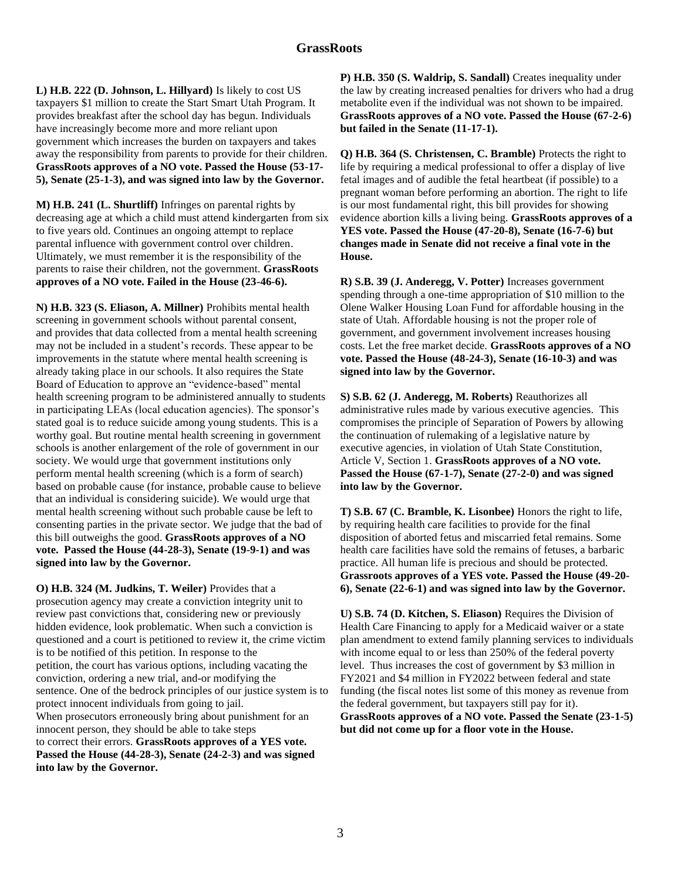**L) H.B. 222 (D. Johnson, L. Hillyard)** Is likely to cost US taxpayers \$1 million to create the Start Smart Utah Program. It provides breakfast after the school day has begun. Individuals have increasingly become more and more reliant upon government which increases the burden on taxpayers and takes away the responsibility from parents to provide for their children. **GrassRoots approves of a NO vote. Passed the House (53-17- 5), Senate (25-1-3), and was signed into law by the Governor.** 

**M) H.B. 241 (L. Shurtliff)** Infringes on parental rights by decreasing age at which a child must attend kindergarten from six to five years old. Continues an ongoing attempt to replace parental influence with government control over children. Ultimately, we must remember it is the responsibility of the parents to raise their children, not the government. **GrassRoots approves of a NO vote. Failed in the House (23-46-6).** 

**N) H.B. 323 (S. Eliason, A. Millner)** Prohibits mental health screening in government schools without parental consent, and provides that data collected from a mental health screening may not be included in a student's records. These appear to be improvements in the statute where mental health screening is already taking place in our schools. It also requires the State Board of Education to approve an "evidence-based" mental health screening program to be administered annually to students in participating LEAs (local education agencies). The sponsor's stated goal is to reduce suicide among young students. This is a worthy goal. But routine mental health screening in government schools is another enlargement of the role of government in our society. We would urge that government institutions only perform mental health screening (which is a form of search) based on probable cause (for instance, probable cause to believe that an individual is considering suicide). We would urge that mental health screening without such probable cause be left to consenting parties in the private sector. We judge that the bad of this bill outweighs the good. **GrassRoots approves of a NO vote. Passed the House (44-28-3), Senate (19-9-1) and was signed into law by the Governor.** 

**O) H.B. 324 (M. Judkins, T. Weiler)** Provides that a prosecution agency may create a conviction integrity unit to review past convictions that, considering new or previously hidden evidence, look problematic. When such a conviction is questioned and a court is petitioned to review it, the crime victim is to be notified of this petition. In response to the petition, the court has various options, including vacating the conviction, ordering a new trial, and-or modifying the sentence. One of the bedrock principles of our justice system is to protect innocent individuals from going to jail. When prosecutors erroneously bring about punishment for an innocent person, they should be able to take steps to correct their errors. **GrassRoots approves of a YES vote. Passed the House (44-28-3), Senate (24-2-3) and was signed into law by the Governor.** 

**P) H.B. 350 (S. Waldrip, S. Sandall)** Creates inequality under the law by creating increased penalties for drivers who had a drug metabolite even if the individual was not shown to be impaired. **GrassRoots approves of a NO vote. Passed the House (67-2-6) but failed in the Senate (11-17-1).** 

**Q) H.B. 364 (S. Christensen, C. Bramble)** Protects the right to life by requiring a medical professional to offer a display of live fetal images and of audible the fetal heartbeat (if possible) to a pregnant woman before performing an abortion. The right to life is our most fundamental right, this bill provides for showing evidence abortion kills a living being. **GrassRoots approves of a YES vote. Passed the House (47-20-8), Senate (16-7-6) but changes made in Senate did not receive a final vote in the House.**

**R) S.B. 39 (J. Anderegg, V. Potter)** Increases government spending through a one-time appropriation of \$10 million to the Olene Walker Housing Loan Fund for affordable housing in the state of Utah. Affordable housing is not the proper role of government, and government involvement increases housing costs. Let the free market decide. **GrassRoots approves of a NO vote. Passed the House (48-24-3), Senate (16-10-3) and was signed into law by the Governor.** 

**S) S.B. 62 (J. Anderegg, M. Roberts)** Reauthorizes all administrative rules made by various executive agencies. This compromises the principle of Separation of Powers by allowing the continuation of rulemaking of a legislative nature by executive agencies, in violation of Utah State Constitution, Article V, Section 1. **GrassRoots approves of a NO vote. Passed the House (67-1-7), Senate (27-2-0) and was signed into law by the Governor.** 

**T) S.B. 67 (C. Bramble, K. Lisonbee)** Honors the right to life, by requiring health care facilities to provide for the final disposition of aborted fetus and miscarried fetal remains. Some health care facilities have sold the remains of fetuses, a barbaric practice. All human life is precious and should be protected. **Grassroots approves of a YES vote. Passed the House (49-20- 6), Senate (22-6-1) and was signed into law by the Governor.** 

**U) S.B. 74 (D. Kitchen, S. Eliason)** Requires the Division of Health Care Financing to apply for a Medicaid waiver or a state plan amendment to extend family planning services to individuals with income equal to or less than 250% of the federal poverty level. Thus increases the cost of government by \$3 million in FY2021 and \$4 million in FY2022 between federal and state funding (the fiscal notes list some of this money as revenue from the federal government, but taxpayers still pay for it). **GrassRoots approves of a NO vote. Passed the Senate (23-1-5) but did not come up for a floor vote in the House.**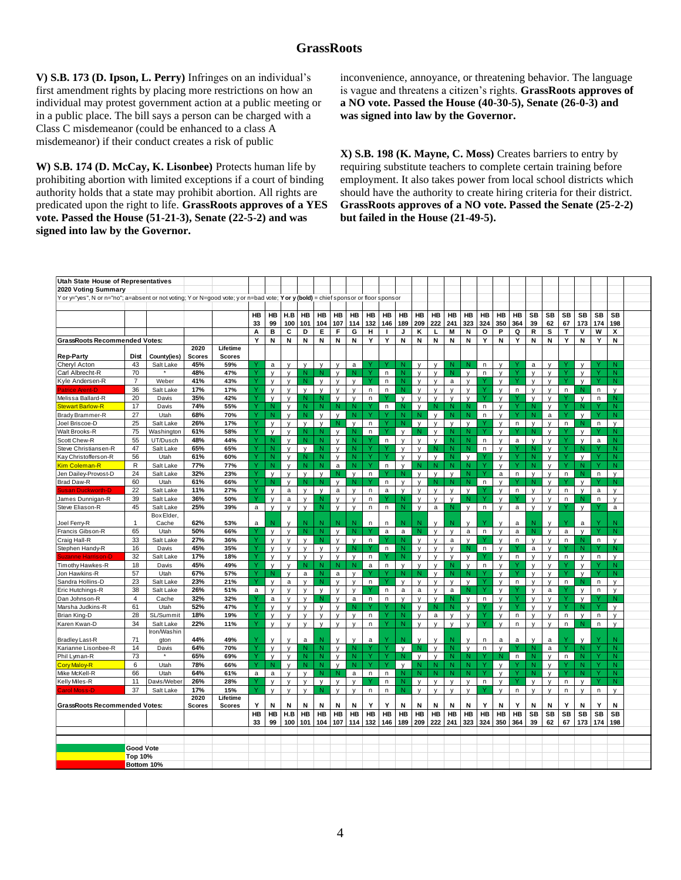## **GrassRoots**

**V) S.B. 173 (D. Ipson, L. Perry)** Infringes on an individual's first amendment rights by placing more restrictions on how an individual may protest government action at a public meeting or in a public place. The bill says a person can be charged with a Class C misdemeanor (could be enhanced to a class A misdemeanor) if their conduct creates a risk of public

**W) S.B. 174 (D. McCay, K. Lisonbee)** Protects human life by prohibiting abortion with limited exceptions if a court of binding authority holds that a state may prohibit abortion. All rights are predicated upon the right to life. **GrassRoots approves of a YES vote. Passed the House (51-21-3), Senate (22-5-2) and was signed into law by the Governor.** 

inconvenience, annoyance, or threatening behavior. The language is vague and threatens a citizen's rights. **GrassRoots approves of a NO vote. Passed the House (40-30-5), Senate (26-0-3) and was signed into law by the Governor.** 

**X) S.B. 198 (K. Mayne, C. Moss)** Creates barriers to entry by requiring substitute teachers to complete certain training before employment. It also takes power from local school districts which should have the authority to create hiring criteria for their district. **GrassRoots approves of a NO vote. Passed the Senate (25-2-2) but failed in the House (21-49-5).** 

| Utah State House of Representatives                                                                                                  |                  |             |               |                           |              |              |              |              |              |              |              |              |              |                |              |              |              |              |              |              |              |              |              |    |              |              |              |  |
|--------------------------------------------------------------------------------------------------------------------------------------|------------------|-------------|---------------|---------------------------|--------------|--------------|--------------|--------------|--------------|--------------|--------------|--------------|--------------|----------------|--------------|--------------|--------------|--------------|--------------|--------------|--------------|--------------|--------------|----|--------------|--------------|--------------|--|
| 2020 Voting Summary                                                                                                                  |                  |             |               |                           |              |              |              |              |              |              |              |              |              |                |              |              |              |              |              |              |              |              |              |    |              |              |              |  |
| Y or y="yes", N or n="no"; a=absent or not voting; Y or N=good vote; y or n=bad vote; Y or y (bold) = chief sponsor or floor sponsor |                  |             |               |                           |              |              |              |              |              |              |              |              |              |                |              |              |              |              |              |              |              |              |              |    |              |              |              |  |
|                                                                                                                                      |                  |             |               |                           |              |              |              |              |              |              |              |              |              |                |              |              |              |              |              |              |              |              |              |    |              |              |              |  |
|                                                                                                                                      |                  |             |               |                           | HB           | HB           | H.B          | HB           | HB           | HB           | HB           | HB           | HB           | HB             | HB           | HB           | HB           | HB           | HB           | HB           | HB           | SB           | SB           | SB | SB           | SB           | <b>SB</b>    |  |
|                                                                                                                                      |                  |             |               |                           | 33           | 99           | 100          | 101          | 104          | 107          | 114          | 132          | 146          | 189            | 209          | 222          | 241          | 323          | 324          | 350          | 364          | 39           | 62           | 67 | 173          | 174          | 198          |  |
|                                                                                                                                      |                  |             |               |                           | A            | B            | С            | D            | E            | F            | G            | н            |              | J              | κ            | L            | M            | N            | o            | P            | Q            | R            | s            | T  | $\mathbf v$  | W            | X            |  |
| <b>GrassRoots Recommended Votes:</b>                                                                                                 |                  |             |               |                           | Y            | N            | Ν            | N            | N            | Ν            | N            | Υ            | Υ            | Ν              | Ν            | Ν            | Ν            | N            | Υ            | N            | Y            | N            | N            | Υ  | N            | Y            | Ν            |  |
|                                                                                                                                      |                  |             | 2020          | Lifetime                  |              |              |              |              |              |              |              |              |              |                |              |              |              |              |              |              |              |              |              |    |              |              |              |  |
| <b>Rep-Party</b>                                                                                                                     | Dist             | County(ies) | <b>Scores</b> | <b>Scores</b>             |              |              |              |              |              |              |              |              |              |                |              |              |              |              |              |              |              |              |              |    |              |              |              |  |
| Cheryl Acton                                                                                                                         | 43               | Salt Lake   | 45%           | 59%                       |              | a            | $\mathsf{v}$ | $\mathsf{v}$ | $\mathsf{v}$ | $\mathsf{v}$ | a            |              |              | N              | $\mathsf{v}$ | $\mathsf{v}$ | N            | N            | n            | $\mathsf{v}$ |              | a            | $\mathsf{v}$ |    | $\mathsf{v}$ |              | N            |  |
| Carl Albrecht-R                                                                                                                      | 70               |             | 48%           | 47%                       |              | $\mathsf{v}$ | $\mathsf{v}$ | N            | N            | $\mathsf{v}$ | N            |              | n            | N              | V            | v            | N            | $\mathsf{v}$ | n            | $\mathsf{v}$ |              | $\mathsf{v}$ | V            |    | $\mathsf{v}$ |              | N            |  |
| Kyle Andersen-R                                                                                                                      | $\overline{7}$   | Weber       | 41%           | 43%                       | $\vee$       | $\mathsf{v}$ | $\mathsf{v}$ | N            | $\mathsf{v}$ | $\mathsf{v}$ | $\mathbf{v}$ |              | n            | N              | $\mathsf{v}$ | $\mathsf{v}$ | a            | $\mathsf{v}$ |              | $\mathsf{v}$ |              | $\mathbf{v}$ | $\mathsf{v}$ | Ÿ  | $\mathsf{v}$ | Ÿ            | N            |  |
| Patrice Arent-D                                                                                                                      | 36               | Salt Lake   | 17%           | 17%                       |              | $\mathsf{v}$ | $\mathsf{v}$ | $\mathsf{v}$ | $\mathsf{v}$ | V            | $\mathsf{v}$ | $\mathsf{n}$ | n            | $\mathbb N$    | $\mathsf{v}$ | V            | v            | $\mathsf{v}$ |              | $\mathsf{v}$ | n            | $\mathsf{V}$ | V            | n  | N            | n            | $\mathsf{v}$ |  |
| Melissa Ballard-R                                                                                                                    | 20               | Davis       | 35%           | 42%                       | v            | $\mathsf{v}$ | $\mathsf{v}$ | N            | N            | $\mathsf{v}$ | $\mathsf{v}$ | $\mathsf{n}$ |              | $\mathsf{v}$   | $\mathsf{v}$ | $\mathsf{v}$ | $\mathsf{v}$ | $\mathbf{v}$ |              | $\mathsf{v}$ |              | $\mathsf{v}$ | $\mathsf{v}$ |    | $\mathsf{v}$ | $\mathsf{n}$ | N            |  |
| <b>Stewart Barlow-R</b>                                                                                                              | 17               | Davis       | 74%           | 55%                       |              | N            | $\mathsf{v}$ | N.           | N            | N            | N            |              | n            | N              | V            |              | N            | N            | n.           | $\mathsf{v}$ |              | N            | V            |    | N            |              | N            |  |
| Brady Brammer-R                                                                                                                      | 27               | Utah        | 68%           | 70%                       | Y            | N            | $\mathsf{v}$ | N            | $\mathsf{v}$ | $\mathsf{v}$ | N            |              |              | N              | <b>N</b>     | $\mathsf{v}$ | N            | N            | n            | $\mathbf{v}$ |              | N.           | $\mathsf{a}$ | Y  | $\mathsf{v}$ | Y            | N            |  |
| Joel Briscoe-D                                                                                                                       | 25               | Salt Lake   | 26%           | 17%                       |              | $\mathsf{v}$ | y            | $\mathsf{v}$ | $\mathsf{v}$ | N            | $\mathsf{v}$ | n            |              | $\mathsf{N}$   | V            | $\mathsf{v}$ | $\mathsf{v}$ | $\mathsf{v}$ |              | $\mathsf{v}$ | n.           | $\mathsf{v}$ | v            | n  | N            | n            | $\mathsf{v}$ |  |
| Walt Brooks-R                                                                                                                        | 75               | Washington  | 61%           | 58%                       | Ÿ            | $\mathsf{v}$ | V            | N            | N            | $\mathsf{v}$ | $\mathsf{N}$ | n            | v            | $\mathbf{v}$   |              | $\mathsf{v}$ | N            | N            | v            | $\mathsf{v}$ |              | N            | V            |    | $\mathsf{v}$ |              | N            |  |
| Scott Chew-R                                                                                                                         | 55               | UT/Dusch    | 48%           | 44%                       |              | N            | y            | N            | N            | y            | $\mathsf{N}$ |              | n            | y              | y            | y            | N            | N            | n            | y            | a            | V            | У            |    | y            | a            | $\mathsf{N}$ |  |
| Steve Christiansen-R                                                                                                                 | 47               | Salt Lake   | 65%           | 65%                       | Y            | $\mathsf{N}$ | V            | V            | $\mathbb N$  | V            | $\mathsf{N}$ |              |              | $\mathbf{v}$   | V            | N            | N            | N            | n            | $\mathsf{v}$ |              | $\mathsf{N}$ | v            | Y  | N            | Ÿ            | N            |  |
| Kay Christofferson-R                                                                                                                 | 56               | Utah        | 61%           | 60%                       |              | N            | y            | N            | $\mathsf{N}$ | V            | $\mathsf{N}$ |              |              | y              | V            | V            | N            | $\mathsf{v}$ |              | V            |              | N            | v            |    | $\mathsf{v}$ |              | $\mathsf{N}$ |  |
| <b>Kim Coleman-R</b>                                                                                                                 | R                | Salt Lake   | 77%           | 77%                       | Y            | $\mathsf{N}$ | y            | N            | $\mathsf{N}$ | a            | $\mathsf{N}$ |              | n            | $\mathsf{v}$   |              |              | N            | N            | Ÿ            | $\mathsf{v}$ |              | N            | v            | Y  | N            | Y            | N            |  |
| Jen Dailey-Provost-D                                                                                                                 | 24               | Salt Lake   | 32%           | 23%                       |              | y            | y            | y            | y            | N            | V            | $\mathsf n$  |              | N              | V            | y            | v            | N            |              | a            | n            | V            | У            | n  | ${\sf N}$    | n            | y            |  |
| Brad Daw-R                                                                                                                           | 60               | Utah        | 61%           | 66%                       | Ÿ            | N            | V            | N            | N            | $\mathsf{v}$ | N            |              | n            |                | V            | N            | N            | N            | n            | $\mathsf{v}$ |              | N            | $\mathsf{V}$ |    | $\mathsf{v}$ |              | N            |  |
| Susan Duckworth-D                                                                                                                    | 22               | Salt Lake   | 11%           | 27%                       | Y            | $\mathsf{v}$ | a            | $\mathsf{v}$ | $\mathsf{v}$ | a            | $\mathsf{v}$ | n            | a            | $\mathsf{v}$   | $\mathsf{v}$ | v            | $\mathsf{v}$ | $\mathsf{v}$ |              | $\mathsf{V}$ | n            | v            | v            | n  | $\mathsf{v}$ | a            | V            |  |
| James Dunnigan-R                                                                                                                     | 39               | Salt Lake   | 36%           | 50%                       |              | $\mathsf{v}$ | a            | $\mathsf{v}$ | N            | $\mathsf{v}$ | $\mathsf{v}$ | n            |              | N              | v            | $\mathsf{v}$ | $\mathsf{v}$ | N            |              | y            |              | v            | $\mathsf{v}$ | n  | N            | n            | V            |  |
| Steve Eliason-R                                                                                                                      | 45               | Salt Lake   | 25%           | 39%                       | a            | $\mathsf{v}$ | v            | $\mathsf{v}$ | N            | $\mathbf{v}$ | V            | n            | n.           | N              | $\mathsf{v}$ | a            | N            | v            | n            | $\mathsf{V}$ | a            | $\mathsf{v}$ | $\mathsf{v}$ |    | $\mathsf{v}$ |              | a            |  |
|                                                                                                                                      |                  | Box Elder,  |               |                           |              |              |              |              |              |              |              |              |              |                |              |              |              |              |              |              |              |              |              |    |              |              |              |  |
| Joel Ferry-R                                                                                                                         | 1                | Cache       | 62%           | 53%                       | a            | N            | $\mathsf{v}$ |              | N            |              | N            | n            | n            |                |              |              |              |              |              |              | a            | Ν            |              |    | a            |              | N            |  |
| Francis Gibson-R                                                                                                                     | 65               | Utah        | 50%           | 66%                       |              | $\mathsf{v}$ | $\mathsf{v}$ | N.           | N            | $\mathsf{v}$ | N            |              | a            | $\mathsf a$    | N            | V            | $\mathsf{v}$ | a            | $\mathsf n$  | $\mathsf{v}$ | $\mathsf{a}$ | N.           | $\mathsf{v}$ | a  | $\mathsf{v}$ | Y            | N            |  |
| Craig Hall-R                                                                                                                         | 33               | Salt Lake   | 27%           | 36%                       |              | y            | $\mathsf{y}$ | y            | N            | $\mathsf{y}$ | $\mathsf{v}$ | $\mathsf{n}$ |              | N              | $\mathsf{v}$ | V            | $\mathsf{a}$ | $\mathsf{v}$ |              | $\mathsf{v}$ | $\mathsf{n}$ | $\mathsf{v}$ | y            | n  | N            | n            | $\mathsf{v}$ |  |
| Stephen Handy-R                                                                                                                      | 16               | Davis       | 45%           | 35%                       | v            | $\mathsf{v}$ | $\mathsf{v}$ | $\mathsf{v}$ | $\mathsf{v}$ | $\mathsf{v}$ | N            |              | $\mathsf n$  | N              | V            | $\mathsf{v}$ | $\mathsf{v}$ | N            | $\mathsf{n}$ | $\mathsf{v}$ |              | $\mathsf{a}$ | $\mathsf{v}$ | v  | N            |              | N            |  |
| Suzanne Harrison-                                                                                                                    | 32               | Salt Lake   | 17%           | 18%                       |              | $\mathsf{y}$ | $\mathsf{v}$ | $\mathsf{y}$ | $\mathsf{y}$ | y            | $\mathsf{v}$ | n            |              | N              | V            | $\mathsf{v}$ | $\mathbf{y}$ | $\mathsf{v}$ |              | $\mathsf{v}$ | n.           | $\mathsf{V}$ | V            | n  | $\mathsf{v}$ | n            | y            |  |
| Timothy Hawkes-R                                                                                                                     | 18               | Davis       | 45%           | 49%                       | v            | $\mathsf{v}$ | $\mathsf{v}$ | N            | N            | N            | N            | $\mathsf{a}$ | n            | $\mathsf{v}$   | $\mathsf{v}$ | $\mathsf{v}$ | N            | $\mathsf{v}$ | n            | $\mathsf{v}$ |              | $\mathbf{v}$ | $\mathsf{v}$ |    | $\mathsf{v}$ |              | N            |  |
| Jon Hawkins-R                                                                                                                        | 57               | Utah        | 67%           | 57%                       |              | N            | $\mathsf{v}$ | $\mathsf{a}$ | N            | $\mathsf{a}$ | $\mathsf{v}$ |              |              | N              | N            | V            | $\mathsf{N}$ | N            |              | $\mathsf{v}$ |              | $\mathsf{v}$ | $\mathsf{v}$ |    | $\mathsf{v}$ |              | N            |  |
| Sandra Hollins-D                                                                                                                     | 23               | Salt Lake   | 23%           | 21%                       | v            | $\mathsf{v}$ | a            | $\mathsf{v}$ | N            | $\mathbf{v}$ | $\mathbf{v}$ | $\mathsf{n}$ | v            | $\overline{u}$ | $\mathbf{v}$ | $\mathsf{v}$ | $\mathbf{v}$ | $\mathsf{v}$ |              | $\mathbf{v}$ | n            | $\mathsf{v}$ | $\mathsf{v}$ | n  | N            | n            | $\mathbf{v}$ |  |
| Eric Hutchings-R                                                                                                                     | 38               | Salt Lake   | 26%           | 51%                       | $\mathsf{a}$ | $\mathsf{v}$ | V            | $\mathsf{v}$ | $\mathsf{v}$ | $\mathsf{v}$ | $\mathsf{v}$ |              | n            | $\mathsf{a}$   | $\mathsf{a}$ | V            | $\mathsf{a}$ | N            |              | $\mathsf{v}$ |              | $\mathsf{v}$ | $\mathsf{a}$ |    | V            | n            | $\mathsf{v}$ |  |
| Dan Johnson-R                                                                                                                        | $\overline{4}$   | Cache       | 32%           | 32%                       |              | a            | $\mathsf{v}$ | $\mathsf{v}$ | N            | $\mathsf{v}$ | a            | $\mathsf{n}$ | $\mathsf{n}$ | $\mathsf{v}$   | $\mathsf{v}$ | $\mathsf{v}$ | N            | $\mathsf{v}$ | n            | $\mathsf{v}$ |              | $\mathsf{v}$ | $\mathsf{v}$ | v  | $\mathsf{v}$ |              | N            |  |
| Marsha Judkins-R                                                                                                                     | 61               | Utah        | 52%           | 47%                       |              | У            | y            | y            | y            | y            | Ν            |              |              | N              | y            | N            | N            | y            |              | $\mathsf{v}$ |              | У            | y            |    | N            |              | y            |  |
| Brian King-D                                                                                                                         | 28               | SL/Summit   | 18%           | 19%                       | Ÿ            | y            | v            | V            | V            | v            |              | n            |              | N              | v            | a            |              | v            |              | V            | n            | v            | V            | n  | V            | n            | $\mathsf{v}$ |  |
| Karen Kwan-D                                                                                                                         | 34               | Salt Lake   | 22%           | 11%                       |              | y            | V            | y            | y            | y            | y            | n            |              | N              | V            | v            | v            | y            |              | V            | n            | v            | v            | n  | N            | n            | y            |  |
|                                                                                                                                      |                  | Iron/Washin |               |                           |              |              |              |              |              |              |              |              |              |                |              |              |              |              |              |              |              |              |              |    |              |              |              |  |
| <b>Bradley Last-R</b>                                                                                                                | 71               | gton        | 44%           | 49%                       |              | $\mathsf{V}$ | V            | a            | N            | V            | $\mathsf{v}$ | a            | v            | N              | $\mathsf{v}$ | $\mathsf{v}$ | N            | y            | n            | a            | a            | v            | a            |    | $\mathsf{v}$ |              | N            |  |
| Karianne Lisonbee-R                                                                                                                  | 14               | Davis       | 64%           | 70%                       | Y            | $\mathsf{v}$ | $\mathsf{v}$ | N            | N            | $\mathsf{v}$ | $\mathsf{N}$ |              | Y            | $\mathsf{v}$   | N            | $\mathsf{v}$ | N            | $\mathsf{v}$ | n            | $\mathsf{v}$ |              | N            | a            | Y  | N            | Y            | N            |  |
| Phil Lyman-R                                                                                                                         | 73               |             | 65%           | 69%                       |              | $\mathsf{v}$ | V            | N            | N            | y            | $\mathsf{N}$ |              |              | N              | $\mathsf{v}$ | $\mathsf{v}$ | N.           | N            |              | N            | n.           | N            | V            | n  | $\mathsf{N}$ |              | N            |  |
| <b>Cory Maloy-R</b>                                                                                                                  | 6                | Utah        | 78%           | 66%                       | Y            | N            | $\mathsf{v}$ | N.           | N            | $\mathbf{v}$ | $\mathsf{N}$ |              | Y            | $\mathsf{v}$   | N            | N            | N            | N.           |              | $\mathsf{v}$ |              | N.           | $\mathsf{v}$ |    | N.           | Y            | N            |  |
| Mike McKell-R                                                                                                                        | 66               | Utah        | 64%           | 61%                       | a            | a            | y            | $\mathsf{v}$ | N            | $\mathbb N$  | $\mathsf{a}$ | $\mathsf{n}$ | n.           | N              | N            | N            | N            | N.           |              | $\mathsf{v}$ |              | N.           | V            | Ÿ  | N            | Y            | N            |  |
| Kelly Miles-R                                                                                                                        | 11               | Davis/Weber | 26%           | 28%                       |              | $\mathsf{v}$ | $\mathsf{v}$ | $\mathsf{v}$ | $\mathsf{v}$ | $\mathsf{v}$ | $\mathsf{v}$ |              | n            | N              | $\mathsf{v}$ | $\mathsf{v}$ | $\mathsf{v}$ | $\mathsf{v}$ | n            | $\mathsf{v}$ |              | $\mathsf{v}$ | $\mathsf{v}$ | n  | $\mathsf{v}$ | Y            | N            |  |
| Carol Moss                                                                                                                           | 37               | Salt Lake   | 17%<br>2020   | 15%                       |              | $\mathsf{v}$ | $\mathsf{v}$ | $\mathsf{v}$ | N            | $\mathsf{v}$ | $\mathsf{v}$ | n            | n            | N              | $\mathsf{v}$ | v            | $\mathsf{v}$ | $\mathsf{v}$ |              | $\mathsf{v}$ | n.           | $\mathsf{v}$ | $\mathsf{v}$ | n  | $\mathsf{v}$ | n            | V            |  |
| <b>GrassRoots Recommended Votes:</b>                                                                                                 |                  |             | <b>Scores</b> | Lifetime<br><b>Scores</b> | Y            | N            | Ν            | N            | Ν            | Ν            | N            | Υ            | Υ            | Ν              | Ν            | Ν            | Ν            | N            | Υ            | N            | Y            | Ν            | Ν            | Υ  | Ν            | Υ            | N            |  |
|                                                                                                                                      |                  |             |               |                           | HB           | HB           | H.B          | HB           | <b>HB</b>    | HB           | <b>HB</b>    | HB           | HB           | <b>HB</b>      | <b>HB</b>    | HB           | HB           | HB           | HB           | HB           | HB           | SB           | <b>SB</b>    | SB | SB           | SB           | <b>SB</b>    |  |
|                                                                                                                                      |                  |             |               |                           | 33           | 99           | 100          | 101          | 104          | 107          | 114          | 132          | 146          | 189            | 209          | 222          | 241          | 323          | 324          | 350          | 364          | 39           | 62           | 67 | 173          | 174          | 198          |  |
|                                                                                                                                      |                  |             |               |                           |              |              |              |              |              |              |              |              |              |                |              |              |              |              |              |              |              |              |              |    |              |              |              |  |
|                                                                                                                                      |                  |             |               |                           |              |              |              |              |              |              |              |              |              |                |              |              |              |              |              |              |              |              |              |    |              |              |              |  |
|                                                                                                                                      | <b>Good Vote</b> |             |               |                           |              |              |              |              |              |              |              |              |              |                |              |              |              |              |              |              |              |              |              |    |              |              |              |  |
|                                                                                                                                      | Top 10%          |             |               |                           |              |              |              |              |              |              |              |              |              |                |              |              |              |              |              |              |              |              |              |    |              |              |              |  |
|                                                                                                                                      | Bottom 10%       |             |               |                           |              |              |              |              |              |              |              |              |              |                |              |              |              |              |              |              |              |              |              |    |              |              |              |  |
|                                                                                                                                      |                  |             |               |                           |              |              |              |              |              |              |              |              |              |                |              |              |              |              |              |              |              |              |              |    |              |              |              |  |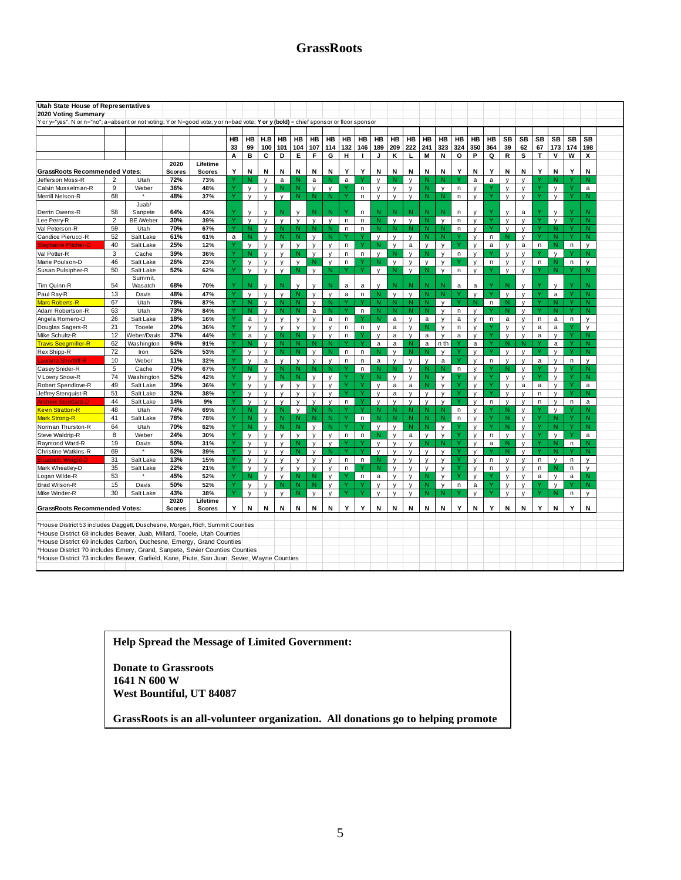# **GrassRoots**

|                                                                                                                                                                                                               | Utah State House of Representatives |                    |               |               |    |              |              |              |              |              |              |              |              |              |              |              |              |              |              |              |              |              |              |              |              |     |              |  |
|---------------------------------------------------------------------------------------------------------------------------------------------------------------------------------------------------------------|-------------------------------------|--------------------|---------------|---------------|----|--------------|--------------|--------------|--------------|--------------|--------------|--------------|--------------|--------------|--------------|--------------|--------------|--------------|--------------|--------------|--------------|--------------|--------------|--------------|--------------|-----|--------------|--|
|                                                                                                                                                                                                               |                                     |                    |               |               |    |              |              |              |              |              |              |              |              |              |              |              |              |              |              |              |              |              |              |              |              |     |              |  |
| 2020 Voting Summary                                                                                                                                                                                           |                                     |                    |               |               |    |              |              |              |              |              |              |              |              |              |              |              |              |              |              |              |              |              |              |              |              |     |              |  |
| Y or y="yes", N or n="no"; a=absent or not voting; Y or N=good vote; y or n=bad vote; Y or y (bold) = chief sponsor or floor sponsor                                                                          |                                     |                    |               |               |    |              |              |              |              |              |              |              |              |              |              |              |              |              |              |              |              |              |              |              |              |     |              |  |
|                                                                                                                                                                                                               |                                     |                    |               |               |    |              |              |              |              |              |              |              |              |              |              |              |              |              |              |              |              |              |              |              |              |     |              |  |
|                                                                                                                                                                                                               |                                     |                    |               |               | HB | HB           | H.B          | HB           | HB           | HB           | HB           | HB           | HB           | HB           | HB           | HB           | HB           | HB           | HB           | HB           | HB           | SB           | SB           | SB           | SB           | SB  | <b>SB</b>    |  |
|                                                                                                                                                                                                               |                                     |                    |               |               | 33 | 99           | 100          | 101          | 104          | 107          | 114          | 132          | 146          | 189          | 209          | 222          | 241          | 323          | 324          | 350          | 364          | 39           | 62           | 67           | 173          | 174 | 198          |  |
|                                                                                                                                                                                                               |                                     |                    |               |               | A  | в            | C            | D            | E            | F            | G            | н            | $\mathbf{I}$ | J            | κ            | г            | M            | N            | $\circ$      | P            | Q            | $\mathsf R$  | s            | $\mathbf{T}$ | v            | W   | X            |  |
|                                                                                                                                                                                                               |                                     |                    | 2020          | Lifetime      |    |              |              |              |              |              |              |              |              |              |              |              |              |              |              |              |              |              |              |              |              |     |              |  |
| <b>GrassRoots Recommended Votes:</b>                                                                                                                                                                          |                                     |                    | <b>Scores</b> | <b>Scores</b> | Y  | N            | Ν            | Ν            | N            | N            | Ν            | Y            | Y            | N            | N            | N            | N            | N            | Y            | Ν            | Y            | Ν            | Ν            | Y            | Ν            | Y   | N            |  |
| Jefferson Moss-R                                                                                                                                                                                              | $\overline{2}$                      | Utah               | 72%           | 73%           |    | N            | $\mathsf{v}$ | a            | N            | $\mathsf{a}$ | N            | $\mathbf{a}$ |              | $\mathbf{v}$ | N            | $\mathsf{V}$ | N            | N            |              | $\mathsf{a}$ | a            | $\mathsf{v}$ | $\mathsf{v}$ |              | N            |     | N            |  |
| Calvin Musselman-R                                                                                                                                                                                            | 9                                   | Weber              | 36%           | 48%           |    | $\mathsf{v}$ | $\mathsf{v}$ | N            | N            | $\mathsf{V}$ | $\mathsf{v}$ |              | n            | $\mathbf{v}$ | $\mathbf{v}$ | $\mathsf{v}$ | N            | $\mathsf{v}$ | n            | $\mathsf{v}$ |              | $\mathsf{v}$ | $\mathsf{v}$ | v            | $\mathsf{v}$ | v   | a            |  |
| Merrill Nelson-R                                                                                                                                                                                              | 68                                  |                    | 48%           | 37%           |    | $\mathsf{v}$ | $\mathsf{v}$ | $\mathsf{v}$ | N.           | -N           | N            |              | n.           | $\mathsf{v}$ | $\mathsf{V}$ | $\mathsf{v}$ | N            | N            | n.           | V            |              | $\mathsf{v}$ | v            |              | $\mathsf{V}$ |     | N            |  |
|                                                                                                                                                                                                               |                                     | Juab/              |               |               |    |              |              |              |              |              |              |              |              |              |              |              |              |              |              |              |              |              |              |              |              |     |              |  |
| Derrin Owens-R                                                                                                                                                                                                | 58                                  | Sanpete            | 64%           | 43%           |    | V            | $\mathsf{v}$ | N            | $\mathsf{v}$ | N            |              |              | n            | N            | N            | N            |              | N            | n            | V            |              | v            | a            |              | $\mathsf{v}$ |     | N            |  |
| Lee Perry-R                                                                                                                                                                                                   | $\overline{2}$                      | <b>BE</b> /Weber   | 30%           | 39%           | Ÿ  | $\mathsf{v}$ | $\mathsf{v}$ | $\mathsf{v}$ | $\mathsf{v}$ | $\mathsf{V}$ | $\mathsf{v}$ | n            | n            | N            | $\mathsf{v}$ | $\mathsf{v}$ | N            | $\mathsf{v}$ | n            | $\mathsf{V}$ |              | V            | v            | Ÿ            | $\mathsf{v}$ | Ÿ   | N            |  |
| Val Peterson-R                                                                                                                                                                                                | 59                                  | Utah               | 70%           | 67%           | Y  | -N           | $\mathsf{v}$ | N            | N            | N            | N            | $\mathsf{n}$ | $\mathsf{n}$ | N            | N            | N            | N            | N            | $\mathsf{n}$ | $\mathsf{v}$ |              | V            | v            |              | N            | Ÿ   | N            |  |
| Candice Pierucci-R                                                                                                                                                                                            | 52                                  | Salt Lake          | 61%           | 61%           | a  | N            | $\mathsf{v}$ | Ñ            | N            | $\mathsf{v}$ | N            |              |              | $\mathbf{v}$ | $\mathbf{v}$ | $\mathsf{v}$ |              | N            |              | $\mathsf{V}$ | $\mathsf{n}$ | N            | v            |              | N            |     | N            |  |
| <b>Itephanie Pitcher-D</b>                                                                                                                                                                                    | 40                                  | Salt Lake          | 25%           | 12%           |    | $\mathsf{v}$ | $\mathbf{v}$ | $\mathsf{v}$ | $\mathsf{v}$ | $\mathsf{v}$ | $\mathsf{v}$ | n            |              | N            | $\mathbf{v}$ | $\mathsf a$  | $\mathsf{v}$ | $\mathbf{v}$ |              | $\mathsf{v}$ | a            | $\mathsf{v}$ | $\mathsf{a}$ | $\mathsf n$  | N            | n.  | $\mathsf{v}$ |  |
| Val Potter-R                                                                                                                                                                                                  | 3                                   | Cache              | 39%           | 36%           |    | N            | $\mathsf{v}$ | $\mathsf{v}$ | N            | $\mathsf{v}$ | $\mathsf{V}$ | n            | $\mathsf n$  | $\mathsf{v}$ | N            | v            |              | V            | n            | $\mathsf{v}$ |              | $\mathsf{v}$ | $\mathsf{v}$ |              | $\mathsf{v}$ |     | N            |  |
| Marie Poulson-D                                                                                                                                                                                               | 46                                  | Salt Lake          | 26%           | 23%           | Ÿ  | $\mathsf{v}$ | $\mathsf{v}$ | $\mathsf{v}$ | $\mathsf{v}$ | N            | $\mathsf{V}$ | n            |              | N            | $\mathbf{v}$ | $\mathbf{v}$ | $\mathbf{v}$ | $\mathsf{v}$ |              | $\mathsf{V}$ | n            | $\mathsf{v}$ | v            | n            | N            | n.  | $\mathsf{v}$ |  |
| Susan Pulsipher-R                                                                                                                                                                                             | 50                                  | Salt Lake          | 52%           | 62%           | Y  | $\mathsf{v}$ | $\mathsf{v}$ | $\mathsf{v}$ | N            | $\mathsf{v}$ | N            |              |              | $\mathsf{v}$ | $\mathbb N$  | $\mathsf{v}$ | N            | $\mathbf{v}$ | n            | $\mathsf{v}$ |              | V            | v            |              | N.           | Y   | N            |  |
| Tim Quinn-R                                                                                                                                                                                                   | 54                                  | Summit,<br>Wasatch | 68%           | 70%           |    | N            |              | N            | v            | v            | N            | a            | a            | $\mathsf{v}$ |              | N            |              | N            | a            | a            |              | N            |              |              | $\mathsf{v}$ |     | N            |  |
| Paul Ray-R                                                                                                                                                                                                    | 13                                  | Davis              | 48%           | 47%           | v  | $\mathsf{v}$ | $\mathsf{v}$ | $\mathsf{v}$ | N            | $\mathsf{V}$ | $\mathsf{v}$ | a            | n.           | N            | $\mathsf{v}$ | $\mathsf{v}$ | N            | N            |              | $\mathsf{v}$ |              | $\mathsf{v}$ | $\mathsf{v}$ | Ÿ            | a            | Ÿ   | N            |  |
| <b>Marc Roberts-R</b>                                                                                                                                                                                         | 67                                  | Utah               | 78%           | 87%           | Y  | -N           | $\mathsf{v}$ | N            | N            | $\mathsf{v}$ | N            |              |              | N            | N            | N            | N            | $\mathsf{v}$ |              | N            | n            | N            | $\mathsf{v}$ |              | N            | Y   | N.           |  |
| Adam Robertson-R                                                                                                                                                                                              | 63                                  | Utah               | 73%           | 84%           |    | N            | $\mathsf{v}$ | N            | N            | a            | N            |              | $\mathsf{n}$ | N            | N            | N            |              | V            | n            | V            |              | N.           | $\mathsf{v}$ |              | N.           |     | N            |  |
| Angela Romero-D                                                                                                                                                                                               | 26                                  | Salt Lake          | 18%           | 16%           | Y  | a            | $\mathsf{v}$ | $\mathsf{v}$ | $\mathsf{v}$ | $\mathsf{v}$ | a            | n            |              | N            | a            | $\mathsf{v}$ | a            | $\mathsf{v}$ | a            | V            | n            | a            | v            | n.           | a            | n   | $\mathsf{v}$ |  |
| Douglas Sagers-R                                                                                                                                                                                              | 21                                  | Tooele             | 20%           | 36%           |    | $\mathsf{v}$ | $\mathsf{V}$ | $\mathsf{v}$ | $\mathsf{v}$ | $\mathsf{v}$ | V            | n            | n            | $\mathsf{v}$ | a            | $\mathsf{V}$ | N            | V            | n            | V            |              | $\mathsf{v}$ | v            | a            | a            | ٧   | $\mathsf{v}$ |  |
| Mike Schultz-R                                                                                                                                                                                                | 12                                  | Weber/Davis        | 37%           | 44%           |    | a            | $\mathsf{v}$ | N            | N            | $\mathsf{v}$ | $\mathsf{v}$ | $\mathsf{n}$ |              |              | a            | $\mathsf{V}$ | a            | $\mathsf{v}$ | a            | $\mathsf{v}$ |              | $\mathsf{v}$ | $\mathbf{v}$ | a            | $\mathbf{v}$ | Ÿ   | N            |  |
| <b>Travis Seegmiller-R</b>                                                                                                                                                                                    | 62                                  | Washington         | 94%           | 91%           | v  | N            | $\mathsf{v}$ | N            | N.           | N            | N            |              | Ń            | $\mathsf{a}$ | $\mathbf{a}$ | N            | $\mathbf{a}$ | n th         |              | $\mathsf{a}$ |              | N            | N            |              | $\mathsf{a}$ | Y   | N            |  |
| Rex Shipp-R                                                                                                                                                                                                   | 72                                  | Iron               | 52%           | 53%           |    | $\mathsf{v}$ | $\mathsf{v}$ | N            | N            | $\mathsf{v}$ | N            | n            | n            |              | V            | N            |              | $\mathsf{v}$ |              | $\mathsf{v}$ |              | $\mathsf{v}$ | ٧            |              | V            |     | N            |  |
| .awana Shurtliff-F                                                                                                                                                                                            | 10                                  | Weber              | 11%           | 32%           | Y  | $\mathsf{v}$ | a            | $\mathsf{v}$ | $\mathsf{v}$ | V            | $\mathsf{v}$ | $\mathsf{n}$ | n            | a            | v            | $\mathsf{v}$ | $\mathsf{v}$ | a            |              | $\mathsf{v}$ | n            | $\mathsf{v}$ | $\mathsf{v}$ | a            | $\mathsf{V}$ | n.  | $\mathsf{v}$ |  |
| Casey Snider-R                                                                                                                                                                                                | 5                                   | Cache              | 70%           | 67%           |    | $\mathsf{N}$ | y            | N            | N            | N            | N            |              | $\mathsf{n}$ | N            | N            | $\mathsf{v}$ | N            | N            | n            | $\mathsf{v}$ |              | N            | $\mathsf{v}$ |              | $\mathsf{V}$ | Υ   | N            |  |
| V Lowry Snow-R                                                                                                                                                                                                | 74                                  | Washington         | 52%           | 42%           |    | $\mathsf{v}$ | $\mathsf{V}$ | N            | N            | $\mathsf{v}$ | $\mathsf{v}$ |              |              |              |              | v            | Ñ            | $\mathsf{v}$ |              | y            |              | $\mathsf{v}$ | $\mathsf{v}$ |              | $\mathsf{v}$ |     | N            |  |
| Robert Spendlove-R                                                                                                                                                                                            | 49                                  | Salt Lake          | 39%           | 36%           | v  | $\mathsf{v}$ | $\mathsf{v}$ | $\mathsf{v}$ | $\mathsf{v}$ | $\mathsf{v}$ | $\mathsf{v}$ | ٧            |              | $\mathbf{v}$ | $\mathsf a$  | $\mathsf a$  | N            | $\mathsf{v}$ |              | $\mathsf{v}$ |              | $\mathsf{v}$ | a            | $\mathsf{a}$ | $\mathsf{v}$ | Y   | $\mathsf{a}$ |  |
| Jeffrey Stenquist-R                                                                                                                                                                                           | 51                                  | Salt Lake          | 32%           | 38%           |    | y            | $\mathsf{v}$ | $\mathsf{v}$ | y            | y            | V            |              |              | $\mathsf{v}$ | $\mathsf{a}$ | y            | v            | $\mathsf{v}$ |              | y            |              | $\mathsf{v}$ | v            | n            | $\mathsf{v}$ |     | N            |  |
| <b>Andrew Stoddard-D</b>                                                                                                                                                                                      | 44                                  | Salt Lake          | 14%           | 9%            | Ÿ  | $\mathsf{v}$ | $\mathsf{v}$ | $\mathsf{v}$ | $\mathsf{v}$ | $\mathsf{v}$ | $\mathsf{v}$ | n            |              | $\mathsf{v}$ | $\mathbf{v}$ | $\mathsf{v}$ | $\mathsf{v}$ | $\mathsf{v}$ |              | $\mathsf{v}$ | n            | $\mathsf{v}$ | v            | n            | $\mathsf{V}$ | n.  | a            |  |
| <b>Kevin Stratton-R</b>                                                                                                                                                                                       | 48                                  | Utah               | 74%           | 69%           | Y  | N            | $\mathsf{v}$ | N            | $\mathbf{v}$ | $\mathbb N$  | N            |              | Y            | N            | N            | N            | N            | N            | n            | $\mathsf{V}$ |              | N            | $\mathsf{v}$ |              | $\mathsf{v}$ | Y   | N            |  |
| <b>Mark Strong-R</b>                                                                                                                                                                                          | 41                                  | Salt Lake          | 78%           | 78%           |    | N            | $\mathsf{v}$ | N            | N            | N            | N            |              | $\mathsf{n}$ | N            | N            | N            | N            | N            | n            | $\mathsf{V}$ |              | N.           | $\mathsf{V}$ |              | N            | Ÿ   | N            |  |
| Norman Thurston-R                                                                                                                                                                                             | 64                                  | Utah               | 70%           | 62%           | Y  | $\mathsf{N}$ | y            | N            | $\mathsf{N}$ | $\mathsf{y}$ | $\mathsf{N}$ | ٧            |              | $\mathbf{v}$ | $\mathsf{v}$ | N            | N            | $\mathsf{v}$ |              | y            | v            | N.           | $\mathsf{v}$ | Ÿ            | N.           | Ÿ   | N            |  |
| Steve Waldrip-R                                                                                                                                                                                               | 8                                   | Weber              | 24%           | 30%           |    | $\mathsf{v}$ | $\mathsf{v}$ | v            | $\mathsf{y}$ | $\mathsf{V}$ | $\mathsf{v}$ | n            | $\mathsf{n}$ |              | $\mathsf{v}$ | $\mathsf{a}$ | $\mathsf{V}$ | $\mathsf{v}$ |              | $\mathsf{V}$ | n.           | $\mathsf{v}$ | v            |              | $\mathsf{v}$ |     | $\mathsf{a}$ |  |
| Raymond Ward-R                                                                                                                                                                                                | 19                                  | Davis              | 50%           | 31%           | Y  | $\mathsf{v}$ | $\mathsf{v}$ | $\mathsf{v}$ | N            | $\mathsf{v}$ | $\mathsf{V}$ |              |              | $\mathbf{v}$ | $\mathbf{v}$ | $\mathbf{v}$ | N            | N            |              | $\mathsf{v}$ | $\mathsf{a}$ | N            | v            | Ÿ            | N            | n   | N            |  |
| <b>Christine Watkins-R</b>                                                                                                                                                                                    | 69                                  | $\star$            | 52%           | 39%           |    | $\mathbf{v}$ | $\mathsf{v}$ | v            | $\mathsf{N}$ | $\mathsf{y}$ | $\mathbb N$  |              |              | $\mathsf{v}$ | $\mathsf{v}$ | $\mathsf{v}$ | v            | $\mathsf{v}$ |              | $\mathsf{V}$ |              | N.           | $\mathsf{v}$ | Y            | N.           | Y   | N            |  |
| lizaheth                                                                                                                                                                                                      | 31                                  | Salt Lake          | 13%           | 15%           |    | $\mathsf{v}$ | $\mathsf{v}$ | $\mathsf{v}$ | $\mathsf{v}$ | $\mathsf{V}$ | $\mathsf{V}$ | n            | n            | N            | $\mathsf{v}$ | $\mathsf{v}$ | v            | $\mathsf{v}$ |              | $\mathsf{v}$ | n            | $\mathsf{v}$ | $\mathsf{v}$ | n            | $\mathsf{v}$ | n.  | $\mathsf{v}$ |  |
| Mark Wheatley-D                                                                                                                                                                                               | 35                                  | Salt Lake          | 22%           | 21%           |    | $\mathsf{v}$ | $\mathsf{v}$ | $\mathsf{v}$ | $\mathsf{v}$ | $\mathsf{V}$ | $\mathsf{V}$ | n            |              | N            | $\mathbf{v}$ | $\mathsf{v}$ | $\mathsf{v}$ | $\mathsf{v}$ |              | $\mathsf{v}$ | n            | $\mathsf{v}$ | v            | n            | N            | n   | $\mathsf{v}$ |  |
| Logan Wilde-R                                                                                                                                                                                                 | 53                                  |                    | 45%           | 52%           |    | N            | $\mathsf{V}$ | V            | N.           | N            | $\mathsf{v}$ |              | n            | a            | V            | v            | N            | V            |              | y            |              | v            | v            | a            | $\mathsf{v}$ | a   | N            |  |
| Brad Wilson-R                                                                                                                                                                                                 | 15                                  | Davis              | 50%           | 52%           | v  | $\mathsf{v}$ | $\mathsf{v}$ | N            | N            | N            | $\mathsf{V}$ |              |              | $\mathbf{v}$ | $\mathsf{v}$ | v            | N            | $\mathsf{v}$ | n.           | a            |              | $\mathsf{v}$ | v            | v            | $\mathsf{v}$ |     | N            |  |
| Mike Winder-R                                                                                                                                                                                                 | 30                                  | Salt Lake          | 43%           | 38%           |    | $\mathbf{v}$ | $\mathsf{v}$ | $\mathsf{v}$ | N            | $\mathsf{v}$ | $\mathsf{v}$ |              |              | $\mathsf{v}$ | $\mathsf{v}$ | $\mathsf{v}$ | N            | N            |              | $\mathsf{v}$ |              | $\mathsf{v}$ | $\mathsf{v}$ |              | N            | n.  | $\mathsf{v}$ |  |
| 2020<br>Lifetime<br>N<br>Y<br>N<br>Y<br>Y<br>Y<br>N<br>Y<br>Y<br>N<br>Y<br>N<br>N<br>N<br>N<br>N<br>N<br>N<br>N<br>N<br>N<br>N<br>N<br><b>GrassRoots Recommended Votes:</b><br><b>Scores</b><br><b>Scores</b> |                                     |                    |               |               |    |              |              |              |              |              |              |              |              |              |              |              |              |              |              |              |              |              |              |              |              |     |              |  |
|                                                                                                                                                                                                               |                                     |                    |               |               |    |              |              |              |              |              |              |              |              |              |              |              |              |              |              |              |              |              |              |              |              |     |              |  |
| *House District 53 includes Daggett, Duschesne, Morgan, Rich, Summit Counties                                                                                                                                 |                                     |                    |               |               |    |              |              |              |              |              |              |              |              |              |              |              |              |              |              |              |              |              |              |              |              |     |              |  |
| 'House District 68 includes Beaver, Juab, Millard, Tooele, Utah Counties                                                                                                                                      |                                     |                    |               |               |    |              |              |              |              |              |              |              |              |              |              |              |              |              |              |              |              |              |              |              |              |     |              |  |
| 'House District 69 includes Carbon, Duchesne, Emergy, Grand Counties<br>'House District 70 includes Emery, Grand, Sanpete, Sevier Counties Counties                                                           |                                     |                    |               |               |    |              |              |              |              |              |              |              |              |              |              |              |              |              |              |              |              |              |              |              |              |     |              |  |
| *House District 73 includes Beaver, Garfield, Kane, Piute, San Juan, Sevier, Wayne Counties                                                                                                                   |                                     |                    |               |               |    |              |              |              |              |              |              |              |              |              |              |              |              |              |              |              |              |              |              |              |              |     |              |  |
|                                                                                                                                                                                                               |                                     |                    |               |               |    |              |              |              |              |              |              |              |              |              |              |              |              |              |              |              |              |              |              |              |              |     |              |  |

**Help Spread the Message of Limited Government:** 

**Donate to Grassroots 1641 N 600 W West Bountiful, UT 84087**

**the principles of GrassRoots.** 

**GrassRoots is an all-volunteer organization. All donations go to helping promote**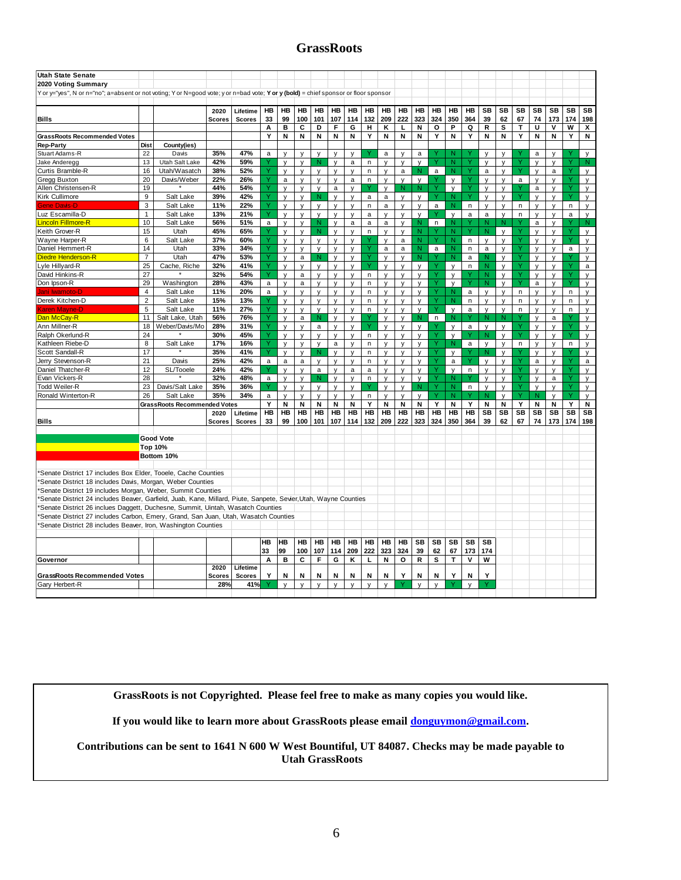# **GrassRoots**

| <b>Utah State Senate</b>                                                                                                            |                |                              |               |               |              |              |              |              |              |              |              |              |              |              |              |                   |              |                |              |              |              |              |              |                              |
|-------------------------------------------------------------------------------------------------------------------------------------|----------------|------------------------------|---------------|---------------|--------------|--------------|--------------|--------------|--------------|--------------|--------------|--------------|--------------|--------------|--------------|-------------------|--------------|----------------|--------------|--------------|--------------|--------------|--------------|------------------------------|
| 2020 Voting Summary                                                                                                                 |                |                              |               |               |              |              |              |              |              |              |              |              |              |              |              |                   |              |                |              |              |              |              |              |                              |
| Yor y="yes", N or n="no"; a=absent or not voting; Y or N=good vote; y or n=bad vote; Y or y (bold) = chief sponsor or floor sponsor |                |                              |               |               |              |              |              |              |              |              |              |              |              |              |              |                   |              |                |              |              |              |              |              |                              |
|                                                                                                                                     |                |                              |               |               |              |              |              |              |              |              |              |              |              |              |              |                   |              |                |              |              |              |              |              |                              |
|                                                                                                                                     |                |                              | 2020          | Lifetime      | HВ           | HВ           | HB           | HB           | HB           | HВ           | HВ           | HВ           | HB           | HB           | НB           | <b>HB</b>         | HB           | SB             | SB           | SB           | SB           | SB           | SB           | SB                           |
| <b>Bills</b>                                                                                                                        |                |                              | <b>Scores</b> | <b>Scores</b> | 33           | 99           | 100          | 101          | 107          | 114          | 132          | 209          | 222          | 323          | 324          | 350               | 364          | 39             | 62           | 67           | 74           | 173          | 174          | 198                          |
|                                                                                                                                     |                |                              |               |               | Α            | в            | c            | D            | F            | G            | н            | κ            | L            | Ν            | О            | P                 | Q            | R              | s            | Т            | U            | V            | W            | X                            |
| GrassRoots Recommended Votes                                                                                                        |                |                              |               |               | Y            | N            | N            | N            | N            | N            | Y            | N            | N            | N            | Y            | N                 | Y            | N              | N            | Y            | N            | N            | Y            | N                            |
| <b>Rep-Party</b>                                                                                                                    | Dist           | County(ies)                  |               |               |              |              |              |              |              |              |              |              |              |              |              |                   |              |                |              |              |              |              |              |                              |
| Stuart Adams-R                                                                                                                      | 22             | Davis                        | 35%           | 47%           | a            | $\mathsf{v}$ | $\mathsf{v}$ | $\mathsf{v}$ | $\mathbf{v}$ | $\mathsf{v}$ |              | a            | $\mathbf{v}$ | a            |              | N                 |              | $\mathbf{v}$   | $\mathsf{v}$ |              | a            | $\mathbf{v}$ |              | $\mathsf{v}$                 |
| Jake Anderegg                                                                                                                       | 13             | Utah Salt Lake               | 42%           | 59%           |              | y            | y            | N            | y            | $\mathsf{a}$ | n            | V            | y            | y            |              | N                 |              | $\mathsf{v}$   | y            |              | V            | $\mathsf{v}$ |              | N                            |
| Curtis Bramble-R                                                                                                                    | 16             | Utah/Wasatch                 | 38%           | 52%           |              | $\mathsf{v}$ | $\mathsf{v}$ | $\mathsf{v}$ | y            | V            | n            | $\mathsf{v}$ | $\mathsf{a}$ | N            | a            | N                 | Y            | $\mathsf{a}$   | $\mathsf{v}$ |              | $\mathsf{v}$ | $\mathsf a$  |              | $\mathsf{v}$                 |
| Gregg Buxton                                                                                                                        | 20             | Davis/Weber                  | 22%           | 26%           |              | a            | $\mathsf{v}$ | $\mathsf{v}$ | $\mathsf{v}$ | a            | n.           | $\mathsf{v}$ | v            | $\mathsf{v}$ |              | $\mathsf{v}$      |              | $\mathsf{v}$   | $\mathsf{v}$ | a            | $\mathsf{v}$ | $\mathsf{v}$ |              | $\mathsf{v}$                 |
| Allen Christensen-R                                                                                                                 | 19             |                              | 44%           | 54%           |              | $\mathsf{v}$ | y            | $\mathsf{v}$ | $\mathsf{a}$ | $\mathsf{v}$ | Υ            | $\mathsf{v}$ | N            | N.           | Ÿ            | $\mathsf{v}$      |              | y              | y            |              | $\mathsf a$  | $\mathsf{v}$ |              | y                            |
| Kirk Cullimore                                                                                                                      | 9              | Salt Lake                    | 39%           | 42%           |              | $\mathsf{v}$ | $\mathsf{V}$ | N            | y            | v            | a            | a            | V            | v            | Ý            | N                 |              | $\mathsf{v}$   | y            |              | $\mathsf{V}$ | $\mathsf{v}$ |              | y                            |
| <b>Gene Davis-D</b>                                                                                                                 | 3              | Salt Lake                    | 11%           | 22%           |              | $\mathsf{V}$ | $\mathsf{v}$ | $\mathsf{v}$ | $\mathsf{v}$ | $\mathsf{v}$ | n            | a            | V            | V            | a            | $\mathsf{N}$      | $\mathsf{n}$ | $\mathsf{v}$   | $\mathsf{v}$ | $\mathsf{n}$ | y            | V            | n            | y                            |
| Luz Escamilla-D                                                                                                                     | $\mathbf{1}$   | Salt Lake                    | 13%           | 21%           |              | $\mathsf{v}$ | $\mathsf{v}$ | $\mathsf{v}$ | y            | V            | $\mathsf{a}$ | V            | $\mathsf{v}$ | $\mathsf{v}$ | Ÿ            | $\mathsf{v}$      | $\mathsf{a}$ | a              | $\mathsf{v}$ | $\mathsf{n}$ | $\mathsf{V}$ | V            | a            | $\mathsf{v}$                 |
| Lincoln Fillmore-R                                                                                                                  | 10             | Salt Lake                    | 56%           | 51%           | a            | y            | y            | N            | y            | a            | a            | $\mathsf{a}$ | y            | N            | $\mathsf{n}$ | N                 |              | N              | N            |              | a            | V            |              | N                            |
| Keith Grover-R                                                                                                                      | 15             | Utah                         | 45%           | 65%           |              | $\mathsf{v}$ | $\mathsf{v}$ | N            | $\mathsf{v}$ | $\mathsf{v}$ | n            | $\mathsf{v}$ | $\mathsf{v}$ | N            |              | $\mathsf{N}$      | Ÿ            | $\overline{N}$ | $\mathsf{v}$ | v            | $\vee$       | $\mathsf{v}$ | $\vee$       | $\mathsf{v}$                 |
| Wayne Harper-R                                                                                                                      | 6              | Salt Lake                    | 37%           | 60%           |              | $\mathsf{v}$ | V            | $\mathsf{v}$ | y            | V            |              | V            | a            | Ñ            |              | N                 | n            | $\mathsf{v}$   | V            |              | V            | $\mathsf{v}$ |              | y                            |
| Daniel Hemmert-R                                                                                                                    | 14             | Utah                         | 33%           | 34%           |              | $\mathsf{v}$ | $\vee$       | $\mathsf{v}$ | $\mathsf{v}$ | $\mathsf{v}$ | Ÿ            | a            | a            | N            | a            | $\mathsf{N}$      | $\mathsf{n}$ | $\mathsf{a}$   | $\mathsf{v}$ | Ÿ            | $\vee$       | $\mathsf{v}$ | $\mathsf{a}$ | $\mathsf{v}$                 |
| Diedre Henderson-R                                                                                                                  | $\overline{7}$ | Utah                         | 47%           | 53%           |              | $\mathsf{v}$ | $\mathsf{a}$ | N            | $\mathsf{v}$ | V            |              | V            | V            | N.           |              | N                 | a            | N              | $\mathsf{V}$ |              | $\mathsf{V}$ | V            |              | y                            |
| Lyle Hillyard-R                                                                                                                     | 25             | Cache, Riche                 | 32%           | 41%           |              | $\mathsf{v}$ | y            | $\mathsf{v}$ |              | V            | Y            | $\mathsf{V}$ | y            | y            | v            | $\mathsf{y}$      | $\mathsf{n}$ | N              | y            |              | $\mathsf{V}$ | V            |              |                              |
| David Hinkins-R                                                                                                                     | 27             | $\star$                      | 32%           | 54%           |              | $\mathsf{v}$ | a            | V            | y<br>y       |              | n.           |              | $\mathsf{v}$ |              | Ÿ            | $\mathsf{y}$      |              | Ñ              | $\mathsf{V}$ |              | $\mathsf{V}$ | $\mathsf{v}$ |              | $\mathsf{a}$<br>$\mathsf{v}$ |
|                                                                                                                                     |                |                              |               |               |              |              |              |              |              | y            |              | y            |              | y            | Ÿ            |                   | Ÿ            | N.             |              | Y            |              |              | Ÿ            |                              |
| Don Ipson-R                                                                                                                         | 29<br>4        | Washington<br>Salt Lake      | 28%<br>11%    | 43%<br>20%    | a            | $\mathsf{v}$ | $\mathsf a$  | $\mathsf{v}$ | $\mathsf{v}$ | $\mathsf{v}$ | n            | $\mathsf{v}$ | $\mathsf{v}$ | $\mathsf{v}$ | Ÿ            | $\mathsf{v}$<br>N |              |                | $\mathsf{v}$ |              | $\mathsf a$  | $\mathsf{v}$ |              | y                            |
| lani Iwamoto-D                                                                                                                      | $\overline{2}$ |                              |               |               | a            | y            | $\mathsf{V}$ | $\mathsf{v}$ | y            | V            | n            | V            | V            | y            |              | N                 | a            | $\mathsf{v}$   | $\mathsf{V}$ | $\mathsf{n}$ | y            | V            | n            | y                            |
| Derek Kitchen-D                                                                                                                     |                | Salt Lake                    | 15%           | 13%           | Ý            | $\mathsf{v}$ | $\mathsf{v}$ | $\mathsf{v}$ | $\mathsf{v}$ | V            | n            | V            | $\mathsf{v}$ | $\mathsf{v}$ | Ÿ<br>Ÿ       |                   | n            | $\mathsf{v}$   | $\mathsf{v}$ | $\mathsf{n}$ | $\mathsf{v}$ | V            | n            | V                            |
| <b>Karen Mayne-D</b>                                                                                                                | 5              | Salt Lake                    | 11%           | 27%           |              | $\mathsf{v}$ | $\mathsf{V}$ | $\mathsf{v}$ | $\mathsf{v}$ | V            | n            | V            | V            | $\mathsf{v}$ |              | $\mathsf{v}$      | a            | $\mathsf{v}$   | $\mathsf{v}$ | $\mathsf{n}$ | V            | $\mathsf{v}$ | n            | V                            |
| Dan McCay-R                                                                                                                         | 11             | Salt Lake, Utah              | 56%           | 76%           | v            | y            | a            | N            | y            | У            |              | V            | y            | N            | n            | N                 |              | $\mathsf{N}$   | N            | v            | y            | a            | $\checkmark$ | У                            |
| Ann Millner-R                                                                                                                       | 18             | Weber/Davis/Mo               | 28%           | 31%           |              | $\mathsf{v}$ | $\mathsf{v}$ | a            | $\mathsf{v}$ | $\mathsf{v}$ | Y            | $\mathsf{v}$ | $\mathsf{v}$ | $\mathsf{v}$ |              | $\mathsf{v}$      | a            | $\mathsf{v}$   | $\mathsf{v}$ |              | $\mathsf{v}$ | $\mathsf{v}$ |              | $\mathsf{v}$                 |
| Ralph Okerlund-R                                                                                                                    | 24             |                              | 30%           | 45%           |              | $\mathsf{v}$ | $\mathsf{V}$ | $\mathsf{v}$ | $\mathsf{v}$ | v            | n            | $\mathsf{V}$ | V            | $\mathsf{v}$ | Ÿ            | $\mathsf{v}$      |              | N              | $\mathsf{v}$ |              | $\mathsf{v}$ | $\mathsf{v}$ |              | $\mathsf{v}$                 |
| Kathleen Riebe-D                                                                                                                    | 8              | Salt Lake                    | 17%           | 16%           |              | y            | $\mathsf{y}$ | $\mathsf{y}$ | $\mathsf{a}$ | y            | n            | y            | y            | y            | Ÿ            | N                 | $\mathsf a$  | y              | y            | $\sf n$      | y            | y            | n            | y                            |
| Scott Sandall-R                                                                                                                     | 17             |                              | 35%           | 41%           |              | $\mathsf{v}$ | $\vee$       | N            | y            | y            | n            | V            | V            | y            | v            | $\mathsf{v}$      |              | ${\sf N}$      | $\mathsf{V}$ |              | $\mathsf{v}$ | V            |              | y                            |
| Jerry Stevenson-R                                                                                                                   | 21             | Davis                        | 25%           | 42%           | a            | a            | $\mathsf a$  | $\mathsf{v}$ | y            | $\mathsf{v}$ | n            | $\mathsf{v}$ | $\mathsf{v}$ | $\mathsf{v}$ | Ÿ            | $\mathsf{a}$      | Ÿ            | $\mathsf{v}$   | $\mathsf{v}$ |              | $\mathsf a$  | V            | ٧            | $\mathsf{a}$                 |
| Daniel Thatcher-R                                                                                                                   | 12             | SL/Tooele                    | 24%           | 42%           |              | $\mathsf{v}$ | $\mathsf{y}$ | $\mathbf{a}$ | y            | a            | $\mathsf{a}$ | $\mathsf{v}$ | $\mathsf{v}$ | y            | Ÿ            | $\mathsf{v}$      | $\mathsf{n}$ | $\mathsf{v}$   | $\mathsf{V}$ |              | $\mathsf{V}$ | $\mathsf{v}$ |              | y                            |
| Evan Vickers-R                                                                                                                      | 28             |                              | 32%           | 48%           | $\mathsf{a}$ | $\mathsf{v}$ | $\mathsf{V}$ | N            | $\mathsf{v}$ | $\mathsf{v}$ | $\mathsf{n}$ | $\mathsf{V}$ | $\mathsf{v}$ | $\mathsf{v}$ | Ÿ            | N                 |              | $\mathsf{v}$   | $\mathsf{V}$ |              | $\mathsf{V}$ | $\mathsf a$  |              | $\mathsf{v}$                 |
| <b>Todd Weiler-R</b>                                                                                                                | 23             | Davis/Salt Lake              | 35%           | 36%           |              | $\mathsf{v}$ | $\mathsf{v}$ | $\mathsf{v}$ | y            | y            |              | V            | y            | N            | Ϋ            | $\overline{N}$    | $\mathsf{n}$ | $\mathsf{v}$   | y            |              | $\mathsf{v}$ | V            |              | y                            |
| Ronald Winterton-R                                                                                                                  | 26             | Salt Lake                    | 35%           | 34%           | a            | $\mathsf{v}$ | $\mathsf{v}$ | $\mathsf{v}$ | V            | v            | n            | V            | v            | V            |              | N                 |              | N              | V            |              |              | $\mathsf{v}$ |              | V                            |
|                                                                                                                                     |                | GrassRoots Recommended Votes |               |               | Y            | N            | N            | N            | N            | N            | Y            | N            | N            | N            | Y            | N                 | Y            | N              | N            | Y            | N            | N            | Y            | N                            |
|                                                                                                                                     |                |                              | 2020          | Lifetime      | <b>HB</b>    | <b>HB</b>    | <b>HB</b>    | <b>HB</b>    | <b>HB</b>    | <b>HB</b>    | HB           | <b>HB</b>    | <b>HB</b>    | <b>HB</b>    | <b>HB</b>    | <b>HB</b>         | <b>HB</b>    | <b>SB</b>      | <b>SB</b>    | <b>SB</b>    | <b>SB</b>    | <b>SB</b>    | SB           | <b>SB</b>                    |
| Bills                                                                                                                               |                |                              | Scores        | <b>Scores</b> | 33           | 99           | 100          | 101          | 107          | 114          | 132          | 209          | 222          | 323          | 324          | 350               | 364          | 39             | 62           | 67           | 74           | 173          | 174          | 198                          |
|                                                                                                                                     |                |                              |               |               |              |              |              |              |              |              |              |              |              |              |              |                   |              |                |              |              |              |              |              |                              |
|                                                                                                                                     |                | <b>Good Vote</b>             |               |               |              |              |              |              |              |              |              |              |              |              |              |                   |              |                |              |              |              |              |              |                              |
|                                                                                                                                     |                | Top 10%                      |               |               |              |              |              |              |              |              |              |              |              |              |              |                   |              |                |              |              |              |              |              |                              |
|                                                                                                                                     |                | Bottom 10%                   |               |               |              |              |              |              |              |              |              |              |              |              |              |                   |              |                |              |              |              |              |              |                              |
|                                                                                                                                     |                |                              |               |               |              |              |              |              |              |              |              |              |              |              |              |                   |              |                |              |              |              |              |              |                              |
| 'Senate District 17 includes Box Elder, Tooele, Cache Counties                                                                      |                |                              |               |               |              |              |              |              |              |              |              |              |              |              |              |                   |              |                |              |              |              |              |              |                              |
| Senate District 18 includes Davis, Morgan, Weber Counties                                                                           |                |                              |               |               |              |              |              |              |              |              |              |              |              |              |              |                   |              |                |              |              |              |              |              |                              |
| 'Senate District 19 includes Morgan, Weber, Summit Counties                                                                         |                |                              |               |               |              |              |              |              |              |              |              |              |              |              |              |                   |              |                |              |              |              |              |              |                              |
| Senate District 24 includes Beaver, Garfield, Juab, Kane, Millard, Piute, Sanpete, Sevier,Utah, Wayne Counties                      |                |                              |               |               |              |              |              |              |              |              |              |              |              |              |              |                   |              |                |              |              |              |              |              |                              |
| Senate District 26 inclues Daggett, Duchesne, Summit, Uintah, Wasatch Counties                                                      |                |                              |               |               |              |              |              |              |              |              |              |              |              |              |              |                   |              |                |              |              |              |              |              |                              |
| Senate District 27 includes Carbon, Emery, Grand, San Juan, Utah, Wasatch Counties                                                  |                |                              |               |               |              |              |              |              |              |              |              |              |              |              |              |                   |              |                |              |              |              |              |              |                              |
| 'Senate District 28 includes Beaver, Iron, Washington Counties                                                                      |                |                              |               |               |              |              |              |              |              |              |              |              |              |              |              |                   |              |                |              |              |              |              |              |                              |
|                                                                                                                                     |                |                              |               |               |              |              |              |              |              |              |              |              |              |              |              |                   |              |                |              |              |              |              |              |                              |
|                                                                                                                                     |                |                              |               |               | <b>HB</b>    | <b>HB</b>    | <b>HB</b>    | HB           | <b>HB</b>    | <b>HB</b>    | <b>HB</b>    | HB           | <b>HB</b>    | <b>SB</b>    | <b>SB</b>    | <b>SB</b>         | <b>SB</b>    | <b>SB</b>      |              |              |              |              |              |                              |
|                                                                                                                                     |                |                              |               |               | 33           | 99           | 100          | 107          | 114          | 209          | 222          | 323          | 324          | 39           | 62           | 67                | 173          | 174            |              |              |              |              |              |                              |
| Governor                                                                                                                            |                |                              |               |               | A            | B            | C            | F            | G            | κ            | L            | N            | O            | R            | s            | T                 | v            | W              |              |              |              |              |              |                              |
|                                                                                                                                     |                |                              | 2020          | Lifetime      |              |              |              |              |              |              |              |              |              |              |              |                   |              |                |              |              |              |              |              |                              |
| <b>GrassRoots Recommended Votes</b>                                                                                                 |                |                              | Scores        | <b>Scores</b> | Y            | N            | N            | N            | N            | N            | N            | N            | Y            | N            | N            | Y                 | N            | Y              |              |              |              |              |              |                              |
| Gary Herbert-R                                                                                                                      |                |                              | 28%           | 41%           |              | $\mathsf{V}$ | $\mathsf{v}$ | $\mathsf{v}$ | V            | $\mathbf{v}$ | $\mathsf{v}$ | $\mathsf{v}$ |              | V            | $\mathsf{v}$ |                   | $\mathsf{v}$ |                |              |              |              |              |              |                              |
|                                                                                                                                     |                |                              |               |               |              |              |              |              |              |              |              |              |              |              |              |                   |              |                |              |              |              |              |              |                              |

**GrassRoots is not Copyrighted. Please feel free to make as many copies you would like.**

**If you would like to learn more about GrassRoots please email [donguymon@gmail.com.](mailto:donguymon@gmail.com)**

**Contributions can be sent to 1641 N 600 W West Bountiful, UT 84087. Checks may be made payable to Utah GrassRoots**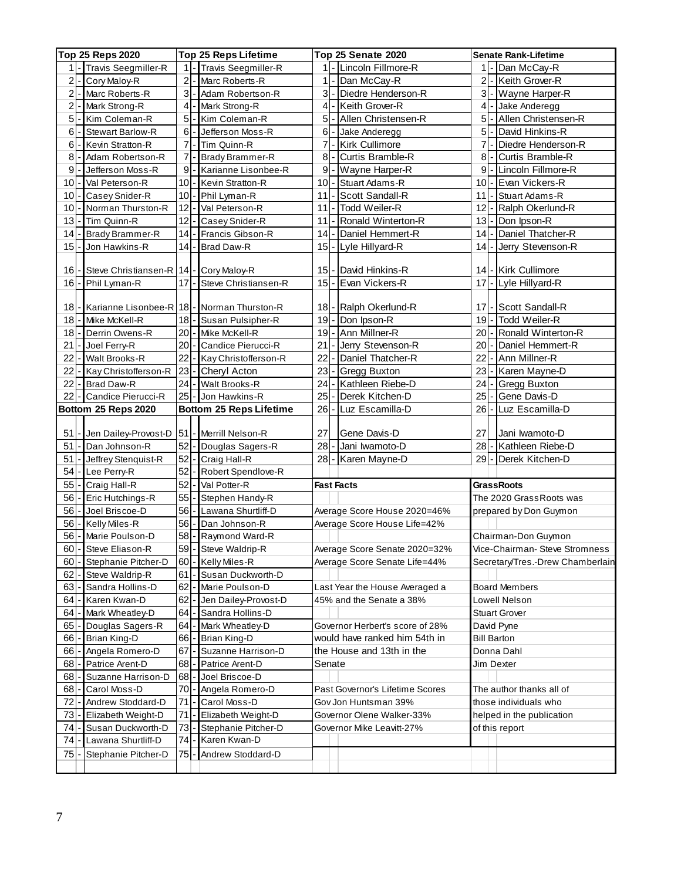| Top 25 Reps 2020 |  |                                                |                |       | <b>Top 25 Reps Lifetime</b>    |              |       | Top 25 Senate 2020              |        | <b>Senate Rank-Lifetime</b>      |
|------------------|--|------------------------------------------------|----------------|-------|--------------------------------|--------------|-------|---------------------------------|--------|----------------------------------|
| $1$ .            |  | Travis Seegmiller-R                            |                |       | 1 - Travis Seegmiller-R        |              |       | 1 - Lincoln Fillmore-R          | 1      | Dan McCay-R                      |
| 2                |  | Cory Maloy-R                                   | $\overline{c}$ |       | Marc Roberts-R                 | 11           |       | Dan McCay-R                     | 2      | Keith Grover-R                   |
| 2                |  | Marc Roberts-R                                 |                |       | 3 - Adam Robertson-R           |              | $3$ - | Diedre Henderson-R              | 3      | Wayne Harper-R                   |
| 2 <sup>1</sup>   |  | Mark Strong-R                                  |                |       | 4 - Mark Strong-R              |              | $4 -$ | Keith Grover-R                  | $4$ .  | Jake Anderegg                    |
| 5 <sup>1</sup>   |  | Kim Coleman-R                                  |                |       | 5 - Kim Coleman-R              |              | $5$ - | Allen Christensen-R             | 5      | Allen Christensen-R              |
| 6                |  | <b>Stewart Barlow-R</b>                        |                | $6$ - | Jefferson Moss-R               |              | $6$ - | Jake Anderegg                   | 5      | David Hinkins-R                  |
| 6                |  | Kevin Stratton-R                               |                |       | 7 - Tim Quinn-R                |              | $7$ - | <b>Kirk Cullimore</b>           | 7      | Diedre Henderson-R               |
| 8 <sup>1</sup>   |  | Adam Robertson-R                               |                |       | 7 - Brady Brammer-R            | $\mathbf{8}$ |       | Curtis Bramble-R                | 8      | Curtis Bramble-R                 |
| 9                |  | Jefferson Moss-R                               |                |       | 9 - Karianne Lisonbee-R        |              | $9 -$ | Wayne Harper-R                  | 9      | Lincoln Fillmore-R               |
| 10               |  | Val Peterson-R                                 |                |       | 10 - Kevin Stratton R          | $10 -$       |       | Stuart Adams-R                  | 10     | Evan Vickers-R                   |
| 10 <sub>1</sub>  |  | Casey Snider-R                                 |                |       | 10 - Phil Lyman-R              | 11           |       | Scott Sandall-R                 | 11     | Stuart Adams-R                   |
| 10               |  | Norman Thurston-R                              |                |       | 12 - Val Peterson R            | 11           |       | Todd Weiler-R                   | 12     | Ralph Okerlund-R                 |
| 13               |  | Tim Quinn-R                                    | 12             |       | Casey Snider-R                 | 11           |       | Ronald Winterton-R              | 13     | Don Ipson-R                      |
| 14               |  | Brady Brammer-R                                | 14             |       | Francis Gibson-R               | $14$ -       |       | Daniel Hemmert-R                | 14     | Daniel Thatcher-R                |
| 15               |  | Jon Hawkins-R                                  |                |       | 14 - Brad Daw-R                |              |       | 15 - Lyle Hillyard-R            | 14     | Jerry Stevenson-R                |
|                  |  |                                                |                |       |                                |              |       |                                 |        |                                  |
| 16               |  | Steve Christiansen-R                           |                |       | 14 - Cory Maloy-R              | $15$ -       |       | David Hinkins-R                 | 14     | <b>Kirk Cullimore</b>            |
| $16 -$           |  | Phil Lyman-R                                   |                |       | 17 - Steve Christiansen-R      |              |       | 15 - Evan Vickers-R             | $17$ - | Lyle Hillyard-R                  |
|                  |  |                                                |                |       |                                |              |       |                                 |        |                                  |
| 18               |  | Karianne Lisonbee-R   18   - Norman Thurston-R |                |       |                                |              |       | 18 - Ralph Okerlund-R           | 17     | Scott Sandall-R                  |
| 18               |  | Mike McKell-R                                  |                |       | 18 - Susan Pulsipher-R         |              |       | 19 - Don Ipson-R                | $19$ - | <b>Todd Weiler-R</b>             |
| 18               |  | Derrin Owens-R                                 |                |       | 20 - Mike McKell-R             |              |       | 19 - Ann Millner-R              | $20 -$ | Ronald Winterton-R               |
| 21               |  | Joel Ferry-R                                   |                |       | 20 - Candice Pierucci-R        | $21 -$       |       | Jerry Stevenson-R               | $20$ - | Daniel Hemmert-R                 |
| 22               |  | Walt Brooks-R                                  |                |       | 22 - Kay Christofferson-R      | $22$ -       |       | Daniel Thatcher-R               | 22     | Ann Millner-R                    |
| 22               |  | Kay Christofferson-R                           |                |       | 23 - Cheryl Acton              | $23 -$       |       | <b>Gregg Buxton</b>             | $23 -$ | Karen Mayne-D                    |
| 22               |  | <b>Brad Daw-R</b>                              |                |       | 24 - Walt Brooks-R             | $24 -$       |       | Kathleen Riebe-D                | 24     | Gregg Buxton                     |
|                  |  | 22 - Candice Pierucci-R                        |                |       | 25 - Jon Hawkins-R             | $25$ -       |       | Derek Kitchen-D                 | 25     | Gene Davis-D                     |
|                  |  | Bottom 25 Reps 2020                            |                |       | <b>Bottom 25 Reps Lifetime</b> | $26 -$       |       | Luz Escamilla-D                 | 26     | Luz Escamilla-D                  |
|                  |  |                                                |                |       |                                |              |       |                                 |        |                                  |
| 51               |  | Jen Dailey-Provost-D                           | 51             |       | - Merrill Nelson-R             | 27           |       | Gene Davis-D                    | 27     | Jani Iwamoto-D                   |
| 51               |  | Dan Johnson-R                                  |                |       | 52 - Douglas Sagers-R          | $28 -$       |       | Jani Iwamoto-D                  | 28     | Kathleen Riebe-D                 |
| 51               |  | Jeffrey Stenquist-R                            |                |       | 52 - Craig Hall-R              | $28 -$       |       | Karen Mayne-D                   | $29$ - | Derek Kitchen-D                  |
| 54               |  | Lee Perry-R                                    |                |       | 52 - Robert Spendlove-R        |              |       |                                 |        |                                  |
| 55               |  | Craig Hall-R                                   |                |       | 52 - Val Potter-R              |              |       | <b>Fast Facts</b>               |        | <b>GrassRoots</b>                |
| 56               |  | Eric Hutchings-R                               |                |       | 55 - Stephen Handy-R           |              |       |                                 |        | The 2020 Grass Roots was         |
| 56               |  | Joel Briscoe-D                                 |                |       | 56 - Lawana Shurtliff-D        |              |       | Average Score House 2020=46%    |        | prepared by Don Guymon           |
| 56               |  | Kelly Miles-R                                  |                |       | 56 - Dan Johnson-R             |              |       | Average Score House Life=42%    |        |                                  |
| 56               |  | Marie Poulson-D                                |                |       | 58 - Raymond Ward-R            |              |       |                                 |        | Chairman-Don Guymon              |
|                  |  | 60 - Steve Eliason-R                           |                |       | 59 - Steve Waldrip-R           |              |       | Average Score Senate 2020=32%   |        | Vice-Chairman- Steve Stromness   |
| 60               |  | Stephanie Pitcher-D                            |                |       | 60 - Kelly Miles-R             |              |       | Average Score Senate Life=44%   |        | Secretary/Tres.-Drew Chamberlain |
| 62               |  | Steve Waldrip-R                                | 61             |       | Susan Duckworth-D              |              |       |                                 |        |                                  |
| 63               |  | Sandra Hollins-D                               | 62             |       | Marie Poulson-D                |              |       | Last Year the House Averaged a  |        | <b>Board Members</b>             |
| 64               |  | Karen Kwan-D                                   | 62             |       | - Jen Dailey-Provost-D         |              |       | 45% and the Senate a 38%        |        | Lowell Nelson                    |
| 64               |  | Mark Wheatley-D                                | 64             |       | - Sandra Hollins-D             |              |       |                                 |        | <b>Stuart Grover</b>             |
| 65               |  | Douglas Sagers-R                               | 64             |       | - Mark Wheatley-D              |              |       | Governor Herbert's score of 28% |        | David Pyne                       |
| 66               |  | Brian King-D                                   |                |       | 66 - Brian King-D              |              |       | would have ranked him 54th in   |        | <b>Bill Barton</b>               |
| 66               |  | Angela Romero-D                                |                |       | 67 - Suzanne Harrison-D        |              |       | the House and 13th in the       |        | Donna Dahl                       |
| 68               |  | Patrice Arent-D                                | 68             |       | Patrice Arent-D                | Senate       |       |                                 |        | Jim Dexter                       |
| 68               |  | Suzanne Harrison-D                             |                |       | 68 - Joel Briscoe-D            |              |       |                                 |        |                                  |
| 68               |  | Carol Moss-D                                   |                |       | 70 - Angela Romero-D           |              |       | Past Governor's Lifetime Scores |        | The author thanks all of         |
| 72               |  | Andrew Stoddard-D                              | 71             |       | - Carol Moss-D                 |              |       | Gov Jon Huntsman 39%            |        | those individuals who            |
| 73               |  | Elizabeth Weight-D                             | 71             |       | Elizabeth Weight-D             |              |       | Governor Olene Walker-33%       |        | helped in the publication        |
| 74               |  | Susan Duckworth-D                              | 73             |       | Stephanie Pitcher-D            |              |       | Governor Mike Leavitt-27%       |        | of this report                   |
| 74               |  | Lawana Shurtliff-D                             | 74.            |       | - Karen Kwan-D                 |              |       |                                 |        |                                  |
| 75               |  | Stephanie Pitcher-D                            | 75             |       | Andrew Stoddard-D              |              |       |                                 |        |                                  |
|                  |  |                                                |                |       |                                |              |       |                                 |        |                                  |